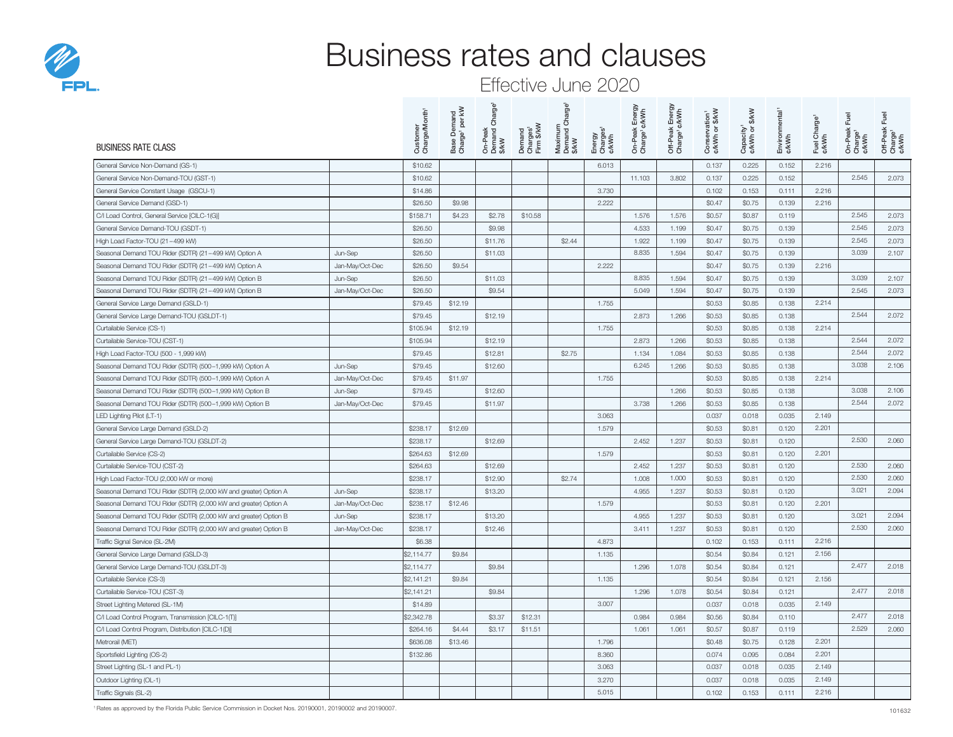

## Business rates and clauses

## Effective June 2020

| <b>BUSINESS RATE CLASS</b>                                       |                 | Customer<br>Charge/Month' | Base Demand<br>Charge' per kW | Charge <sup>1</sup><br>On-Peak<br>Demand C<br>\$/kW | Demand<br>Charges <sup>1</sup><br>Firm \$/kW | Charge <sup>1</sup><br>Maximum<br>Demand C<br>\$/kW | Energy<br>Charges <sup>1</sup><br>¢/kWh | On-Peak Energy<br>Charge' ¢/kWh | k Energy<br>¢/kWh<br>Off-Peak I<br>Charge <sup>1</sup> ¢ | Conservation <sup>1</sup><br>¢/kWh or \$/kW | <b>S/kW</b><br>Capacity <sup>1</sup><br>¢/kWh or \$ | Environmental <sup>1</sup><br>¢/kWh | Fuel Charge <sup>1</sup><br>¢/kWh | Fuel<br>On-Peak I<br>Charge <sup>1</sup><br>¢/kWh | 飞<br>Off-Peak<br>Charge <sup>1</sup><br>¢/kWh |
|------------------------------------------------------------------|-----------------|---------------------------|-------------------------------|-----------------------------------------------------|----------------------------------------------|-----------------------------------------------------|-----------------------------------------|---------------------------------|----------------------------------------------------------|---------------------------------------------|-----------------------------------------------------|-------------------------------------|-----------------------------------|---------------------------------------------------|-----------------------------------------------|
| General Service Non-Demand (GS-1)                                |                 | \$10.62                   |                               |                                                     |                                              |                                                     | 6.013                                   |                                 |                                                          | 0.137                                       | 0.225                                               | 0.152                               | 2.216                             |                                                   |                                               |
| General Service Non-Demand-TOU (GST-1)                           |                 | \$10.62                   |                               |                                                     |                                              |                                                     |                                         | 11.103                          | 3.802                                                    | 0.137                                       | 0.225                                               | 0.152                               |                                   | 2.545                                             | 2.073                                         |
| General Service Constant Usage (GSCU-1)                          |                 | \$14.86                   |                               |                                                     |                                              |                                                     | 3.730                                   |                                 |                                                          | 0.102                                       | 0.153                                               | 0.111                               | 2.216                             |                                                   |                                               |
| General Service Demand (GSD-1)                                   |                 | \$26.50                   | \$9.98                        |                                                     |                                              |                                                     | 2.222                                   |                                 |                                                          | \$0.47                                      | \$0.75                                              | 0.139                               | 2.216                             |                                                   |                                               |
| C/I Load Control, General Service [CILC-1(G)]                    |                 | \$158.71                  | \$4.23                        | \$2.78                                              | \$10.58                                      |                                                     |                                         | 1.576                           | 1.576                                                    | \$0.57                                      | \$0.87                                              | 0.119                               |                                   | 2.545                                             | 2.073                                         |
| General Service Demand-TOU (GSDT-1)                              |                 | \$26.50                   |                               | \$9.98                                              |                                              |                                                     |                                         | 4.533                           | 1.199                                                    | \$0.47                                      | \$0.75                                              | 0.139                               |                                   | 2.545                                             | 2.073                                         |
| High Load Factor-TOU (21-499 kW)                                 |                 | \$26.50                   |                               | \$11.76                                             |                                              | \$2.44                                              |                                         | 1.922                           | 1.199                                                    | \$0.47                                      | \$0.75                                              | 0.139                               |                                   | 2.545                                             | 2.073                                         |
| Seasonal Demand TOU Rider (SDTR) (21-499 kW) Option A            | Jun-Sep         | \$26.50                   |                               | \$11.03                                             |                                              |                                                     |                                         | 8.835                           | 1.594                                                    | \$0.47                                      | \$0.75                                              | 0.139                               |                                   | 3.039                                             | 2.107                                         |
| Seasonal Demand TOU Rider (SDTR) (21-499 kW) Option A            | Jan-May/Oct-Dec | \$26.50                   | \$9.54                        |                                                     |                                              |                                                     | 2.222                                   |                                 |                                                          | \$0.47                                      | \$0.75                                              | 0.139                               | 2.216                             |                                                   |                                               |
| Seasonal Demand TOU Rider (SDTR) (21-499 kW) Option B            | Jun-Sep         | \$26.50                   |                               | \$11.03                                             |                                              |                                                     |                                         | 8.835                           | 1.594                                                    | \$0.47                                      | \$0.75                                              | 0.139                               |                                   | 3.039                                             | 2.107                                         |
| Seasonal Demand TOU Rider (SDTR) (21-499 kW) Option B            | Jan-May/Oct-Dec | \$26.50                   |                               | \$9.54                                              |                                              |                                                     |                                         | 5.049                           | 1.594                                                    | \$0.47                                      | \$0.75                                              | 0.139                               |                                   | 2.545                                             | 2.073                                         |
| General Service Large Demand (GSLD-1)                            |                 | \$79.45                   | \$12.19                       |                                                     |                                              |                                                     | 1.755                                   |                                 |                                                          | \$0.53                                      | \$0.85                                              | 0.138                               | 2.214                             |                                                   |                                               |
| General Service Large Demand-TOU (GSLDT-1)                       |                 | \$79.45                   |                               | \$12.19                                             |                                              |                                                     |                                         | 2.873                           | 1.266                                                    | \$0.53                                      | \$0.85                                              | 0.138                               |                                   | 2.544                                             | 2.072                                         |
| Curtailable Service (CS-1)                                       |                 | \$105.94                  | \$12.19                       |                                                     |                                              |                                                     | 1.755                                   |                                 |                                                          | \$0.53                                      | \$0.85                                              | 0.138                               | 2.214                             |                                                   |                                               |
| Curtailable Service-TOU (CST-1)                                  |                 | \$105.94                  |                               | \$12.19                                             |                                              |                                                     |                                         | 2.873                           | 1.266                                                    | \$0.53                                      | \$0.85                                              | 0.138                               |                                   | 2.544                                             | 2.072                                         |
| High Load Factor-TOU (500 - 1,999 kW)                            |                 | \$79.45                   |                               | \$12.81                                             |                                              | \$2.75                                              |                                         | 1.134                           | 1.084                                                    | \$0.53                                      | \$0.85                                              | 0.138                               |                                   | 2.544                                             | 2.072                                         |
| Seasonal Demand TOU Rider (SDTR) (500-1,999 kW) Option A         | Jun-Sep         | \$79.45                   |                               | \$12.60                                             |                                              |                                                     |                                         | 6.245                           | 1.266                                                    | \$0.53                                      | \$0.85                                              | 0.138                               |                                   | 3.038                                             | 2.106                                         |
| Seasonal Demand TOU Rider (SDTR) (500-1,999 kW) Option A         | Jan-May/Oct-Dec | \$79.45                   | \$11.97                       |                                                     |                                              |                                                     | 1.755                                   |                                 |                                                          | \$0.53                                      | \$0.85                                              | 0.138                               | 2.214                             |                                                   |                                               |
| Seasonal Demand TOU Rider (SDTR) (500-1,999 kW) Option B         | Jun-Sep         | \$79.45                   |                               | \$12.60                                             |                                              |                                                     |                                         |                                 | 1.266                                                    | \$0.53                                      | \$0.85                                              | 0.138                               |                                   | 3.038                                             | 2.106                                         |
| Seasonal Demand TOU Rider (SDTR) (500-1,999 kW) Option B         | Jan-May/Oct-Dec | \$79.45                   |                               | \$11.97                                             |                                              |                                                     |                                         | 3.738                           | 1.266                                                    | \$0.53                                      | \$0.85                                              | 0.138                               |                                   | 2.544                                             | 2.072                                         |
| LED Lighting Pilot (LT-1)                                        |                 |                           |                               |                                                     |                                              |                                                     | 3.063                                   |                                 |                                                          | 0.037                                       | 0.018                                               | 0.035                               | 2.149                             |                                                   |                                               |
| General Service Large Demand (GSLD-2)                            |                 | \$238.17                  | \$12.69                       |                                                     |                                              |                                                     | 1.579                                   |                                 |                                                          | \$0.53                                      | \$0.81                                              | 0.120                               | 2.201                             |                                                   |                                               |
| General Service Large Demand-TOU (GSLDT-2)                       |                 | \$238.17                  |                               | \$12.69                                             |                                              |                                                     |                                         | 2.452                           | 1.237                                                    | \$0.53                                      | \$0.81                                              | 0.120                               |                                   | 2.530                                             | 2.060                                         |
| Curtailable Service (CS-2)                                       |                 | \$264.63                  | \$12.69                       |                                                     |                                              |                                                     | 1.579                                   |                                 |                                                          | \$0.53                                      | \$0.81                                              | 0.120                               | 2.201                             |                                                   |                                               |
| Curtailable Service-TOU (CST-2)                                  |                 | \$264.63                  |                               | \$12.69                                             |                                              |                                                     |                                         | 2.452                           | 1.237                                                    | \$0.53                                      | \$0.81                                              | 0.120                               |                                   | 2.530                                             | 2.060                                         |
| High Load Factor-TOU (2,000 kW or more)                          |                 | \$238.17                  |                               | \$12.90                                             |                                              | \$2.74                                              |                                         | 1.008                           | 1.000                                                    | \$0.53                                      | \$0.81                                              | 0.120                               |                                   | 2.530                                             | 2.060                                         |
| Seasonal Demand TOU Rider (SDTR) (2,000 kW and greater) Option A | Jun-Sep         | \$238.17                  |                               | \$13.20                                             |                                              |                                                     |                                         | 4.955                           | 1.237                                                    | \$0.53                                      | \$0.81                                              | 0.120                               |                                   | 3.021                                             | 2.094                                         |
| Seasonal Demand TOU Rider (SDTR) (2,000 kW and greater) Option A | Jan-May/Oct-Dec | \$238.17                  | \$12.46                       |                                                     |                                              |                                                     | 1.579                                   |                                 |                                                          | \$0.53                                      | \$0.81                                              | 0.120                               | 2.201                             |                                                   |                                               |
| Seasonal Demand TOU Rider (SDTR) (2,000 kW and greater) Option B | Jun-Sep         | \$238.17                  |                               | \$13.20                                             |                                              |                                                     |                                         | 4.955                           | 1.237                                                    | \$0.53                                      | \$0.81                                              | 0.120                               |                                   | 3.021                                             | 2.094                                         |
| Seasonal Demand TOU Rider (SDTR) (2,000 kW and greater) Option B | Jan-May/Oct-Dec | \$238.17                  |                               | \$12.46                                             |                                              |                                                     |                                         | 3.411                           | 1.237                                                    | \$0.53                                      | \$0.81                                              | 0.120                               |                                   | 2.530                                             | 2.060                                         |
| Traffic Signal Service (SL-2M)                                   |                 | \$6.38                    |                               |                                                     |                                              |                                                     | 4.873                                   |                                 |                                                          | 0.102                                       | 0.153                                               | 0.111                               | 2.216                             |                                                   |                                               |
| General Service Large Demand (GSLD-3)                            |                 | \$2,114.77                | \$9.84                        |                                                     |                                              |                                                     | 1.135                                   |                                 |                                                          | \$0.54                                      | \$0.84                                              | 0.121                               | 2.156                             |                                                   |                                               |
| General Service Large Demand-TOU (GSLDT-3)                       |                 | \$2,114.77                |                               | \$9.84                                              |                                              |                                                     |                                         | 1.296                           | 1.078                                                    | \$0.54                                      | \$0.84                                              | 0.121                               |                                   | 2.477                                             | 2.018                                         |
| Curtailable Service (CS-3)                                       |                 | \$2,141.21                | \$9.84                        |                                                     |                                              |                                                     | 1.135                                   |                                 |                                                          | \$0.54                                      | \$0.84                                              | 0.121                               | 2.156                             |                                                   |                                               |
| Curtailable Service-TOU (CST-3)                                  |                 | \$2,141.21                |                               | \$9.84                                              |                                              |                                                     |                                         | 1.296                           | 1.078                                                    | \$0.54                                      | \$0.84                                              | 0.121                               |                                   | 2.477                                             | 2.018                                         |
| Street Lighting Metered (SL-1M)                                  |                 | \$14.89                   |                               |                                                     |                                              |                                                     | 3.007                                   |                                 |                                                          | 0.037                                       | 0.018                                               | 0.035                               | 2.149                             |                                                   |                                               |
| C/I Load Control Program, Transmission [CILC-1(T)]               |                 | \$2,342.78                |                               | \$3.37                                              | \$12.31                                      |                                                     |                                         | 0.984                           | 0.984                                                    | \$0.56                                      | \$0.84                                              | 0.110                               |                                   | 2.477                                             | 2.018                                         |
| C/I Load Control Program, Distribution [CILC-1(D)]               |                 | \$264.16                  | \$4.44                        | \$3.17                                              | \$11.51                                      |                                                     |                                         | 1.061                           | 1.061                                                    | \$0.57                                      | \$0.87                                              | 0.119                               |                                   | 2.529                                             | 2.060                                         |
| Metrorail (MET)                                                  |                 | \$636.08                  | \$13.46                       |                                                     |                                              |                                                     | 1.796                                   |                                 |                                                          | \$0.48                                      | \$0.75                                              | 0.128                               | 2.201                             |                                                   |                                               |
| Sportsfield Lighting (OS-2)                                      |                 | \$132,86                  |                               |                                                     |                                              |                                                     | 8.360                                   |                                 |                                                          | 0.074                                       | 0.095                                               | 0.084                               | 2.201                             |                                                   |                                               |
| Street Lighting (SL-1 and PL-1)                                  |                 |                           |                               |                                                     |                                              |                                                     | 3.063                                   |                                 |                                                          | 0.037                                       | 0.018                                               | 0.035                               | 2.149                             |                                                   |                                               |
| Outdoor Lighting (OL-1)                                          |                 |                           |                               |                                                     |                                              |                                                     | 3.270                                   |                                 |                                                          | 0.037                                       | 0.018                                               | 0.035                               | 2.149                             |                                                   |                                               |
| Traffic Signals (SL-2)                                           |                 |                           |                               |                                                     |                                              |                                                     | 5.015                                   |                                 |                                                          | 0.102                                       | 0.153                                               | 0.111                               | 2.216                             |                                                   |                                               |

<sup>1</sup> Rates as approved by the Florida Public Service Commission in Docket Nos. 20190001, 20190002 and 20190007.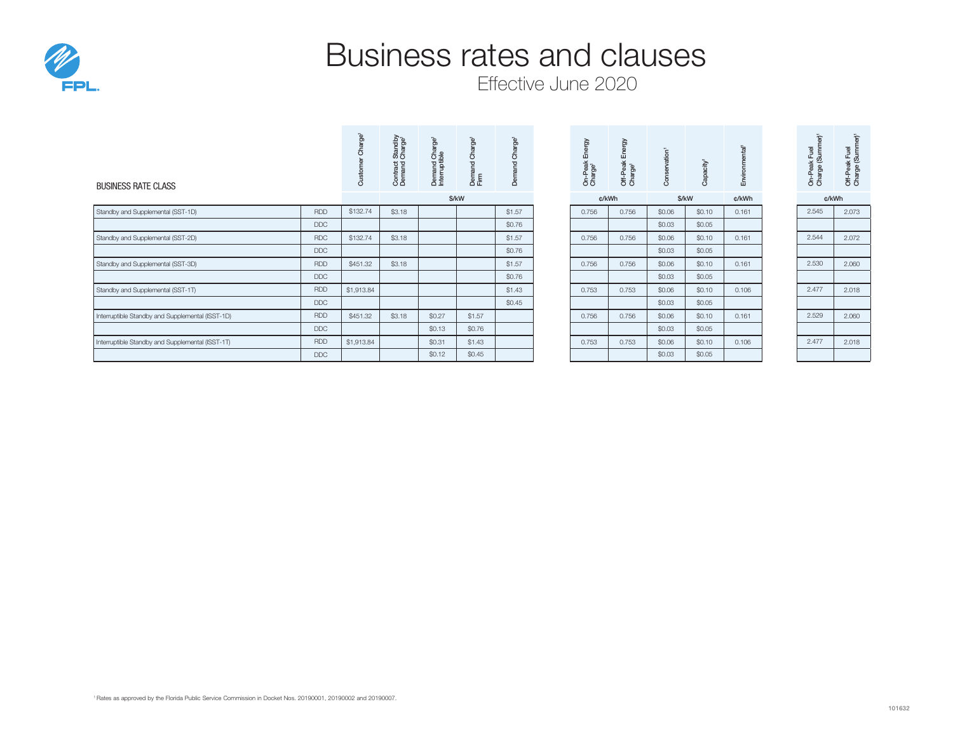

## Business rates and clauses

Effective June 2020

| <b>BUSINESS RATE CLASS</b>                       |            | Charge <sup>1</sup><br>Custo | Contract Standby<br>Demand Charge <sup>1</sup> | ە7<br>$\sigma$<br>Demand Cha<br>Interruptible | ep.<br>$\circ$<br>Demand<br>Firm | Charge <sup>1</sup><br>ᅙ<br>ŏ | Energy<br>On-Peak I<br>Charge <sup>1</sup> | Energy<br>Off-Peak | Conservation <sup>1</sup> | Capacity | $\overline{5}$<br>onme<br>Envir |  | $\overline{e}$<br>iumm<br>Fuel<br>On-Peak I<br>Charge (S | ć<br>Off-Peak Fuel<br>Charge (Summ |
|--------------------------------------------------|------------|------------------------------|------------------------------------------------|-----------------------------------------------|----------------------------------|-------------------------------|--------------------------------------------|--------------------|---------------------------|----------|---------------------------------|--|----------------------------------------------------------|------------------------------------|
|                                                  |            |                              |                                                | \$/kW                                         |                                  |                               |                                            | \$/kW<br>¢/kWh     |                           | ¢/kWh    | ¢/kWh                           |  |                                                          |                                    |
| Standby and Supplemental (SST-1D)                | <b>RDD</b> | \$132.74                     | \$3.18                                         |                                               |                                  | \$1.57                        | 0.756                                      | 0.756              | \$0.06                    | \$0.10   | 0.161                           |  | 2.545                                                    | 2.073                              |
|                                                  | <b>DDC</b> |                              |                                                |                                               |                                  | \$0.76                        |                                            |                    | \$0.03                    | \$0.05   |                                 |  |                                                          |                                    |
| Standby and Supplemental (SST-2D)                | <b>RDC</b> | \$132.74                     | \$3.18                                         |                                               |                                  | \$1.57                        | 0.756                                      | 0.756              | \$0.06                    | \$0.10   | 0.161                           |  | 2.544                                                    | 2.072                              |
|                                                  | <b>DDC</b> |                              |                                                |                                               |                                  | \$0.76                        |                                            |                    | \$0.03                    | \$0.05   |                                 |  |                                                          |                                    |
| Standby and Supplemental (SST-3D)                | <b>RDD</b> | \$451.32                     | \$3.18                                         |                                               |                                  | \$1.57                        | 0.756                                      | 0.756              | \$0.06                    | \$0.10   | 0.161                           |  | 2.530                                                    | 2.060                              |
|                                                  | <b>DDC</b> |                              |                                                |                                               |                                  | \$0.76                        |                                            |                    | \$0.03                    | \$0.05   |                                 |  |                                                          |                                    |
| Standby and Supplemental (SST-1T)                | <b>RDD</b> | \$1,913.84                   |                                                |                                               |                                  | \$1.43                        | 0.753                                      | 0.753              | \$0.06                    | \$0.10   | 0.106                           |  | 2.477                                                    | 2.018                              |
|                                                  | <b>DDC</b> |                              |                                                |                                               |                                  | \$0.45                        |                                            |                    | \$0.03                    | \$0.05   |                                 |  |                                                          |                                    |
| Interruptible Standby and Supplemental (ISST-1D) | <b>RDD</b> | \$451.32                     | \$3.18                                         | \$0.27                                        | \$1.57                           |                               | 0.756                                      | 0.756              | \$0.06                    | \$0.10   | 0.161                           |  | 2.529                                                    | 2.060                              |
|                                                  | <b>DDC</b> |                              |                                                | \$0.13                                        | \$0.76                           |                               |                                            |                    | \$0.03                    | \$0.05   |                                 |  |                                                          |                                    |
| Interruptible Standby and Supplemental (ISST-1T) | <b>RDD</b> | \$1,913.84                   |                                                | \$0.31                                        | \$1.43                           |                               | 0.753                                      | 0.753              | \$0.06                    | \$0.10   | 0.106                           |  | 2.477                                                    | 2.018                              |
|                                                  | <b>DDC</b> |                              |                                                | \$0.12                                        | \$0.45                           |                               |                                            |                    | \$0.03                    | \$0.05   |                                 |  |                                                          |                                    |

| On-Peak Energy<br>Charge' | Θ,<br>吅<br>Off-Peak<br>Charge <sup>1</sup> | ă | pacit<br>జి | Environmental <sup>1</sup> |
|---------------------------|--------------------------------------------|---|-------------|----------------------------|
|                           |                                            |   |             |                            |

| \$/kW |        | ¢/kWh  |       |       | \$/kW  | ¢/kWh  | ¢/kWh |       |  |
|-------|--------|--------|-------|-------|--------|--------|-------|-------|--|
|       |        | \$1.57 | 0.756 | 0.756 | \$0.06 | \$0.10 | 0.161 | 2.545 |  |
|       |        | \$0.76 |       |       | \$0.03 | \$0.05 |       |       |  |
|       |        | \$1.57 | 0.756 | 0.756 | \$0.06 | \$0.10 | 0.161 | 2.544 |  |
|       |        | \$0.76 |       |       | \$0.03 | \$0.05 |       |       |  |
|       |        | \$1.57 | 0.756 | 0.756 | \$0.06 | \$0.10 | 0.161 | 2.530 |  |
|       |        | \$0.76 |       |       | \$0.03 | \$0.05 |       |       |  |
|       |        | \$1.43 | 0.753 | 0.753 | \$0.06 | \$0.10 | 0.106 | 2.477 |  |
|       |        | \$0.45 |       |       | \$0.03 | \$0.05 |       |       |  |
|       | \$1.57 |        | 0.756 | 0.756 | \$0.06 | \$0.10 | 0.161 | 2.529 |  |
|       | \$0.76 |        |       |       | \$0.03 | \$0.05 |       |       |  |
|       | \$1.43 |        | 0.753 | 0.753 | \$0.06 | \$0.10 | 0.106 | 2.477 |  |
|       | \$0.45 |        |       |       | \$0.03 | \$0.05 |       |       |  |

| Charge (Summer) | Charge (Summer) <sup>1</sup> |
|-----------------|------------------------------|
| On-Peak Fuel    | Off-Peak Fuel                |
|                 |                              |

| c/kWh |       |  |  |  |  |  |  |
|-------|-------|--|--|--|--|--|--|
| 2.545 | 2.073 |  |  |  |  |  |  |
|       |       |  |  |  |  |  |  |
| 2.544 | 2.072 |  |  |  |  |  |  |
|       |       |  |  |  |  |  |  |
| 2.530 | 2.060 |  |  |  |  |  |  |
|       |       |  |  |  |  |  |  |
| 2.477 | 2.018 |  |  |  |  |  |  |
|       |       |  |  |  |  |  |  |
| 2.529 | 2.060 |  |  |  |  |  |  |
|       |       |  |  |  |  |  |  |
| 2.477 | 2.018 |  |  |  |  |  |  |
|       |       |  |  |  |  |  |  |